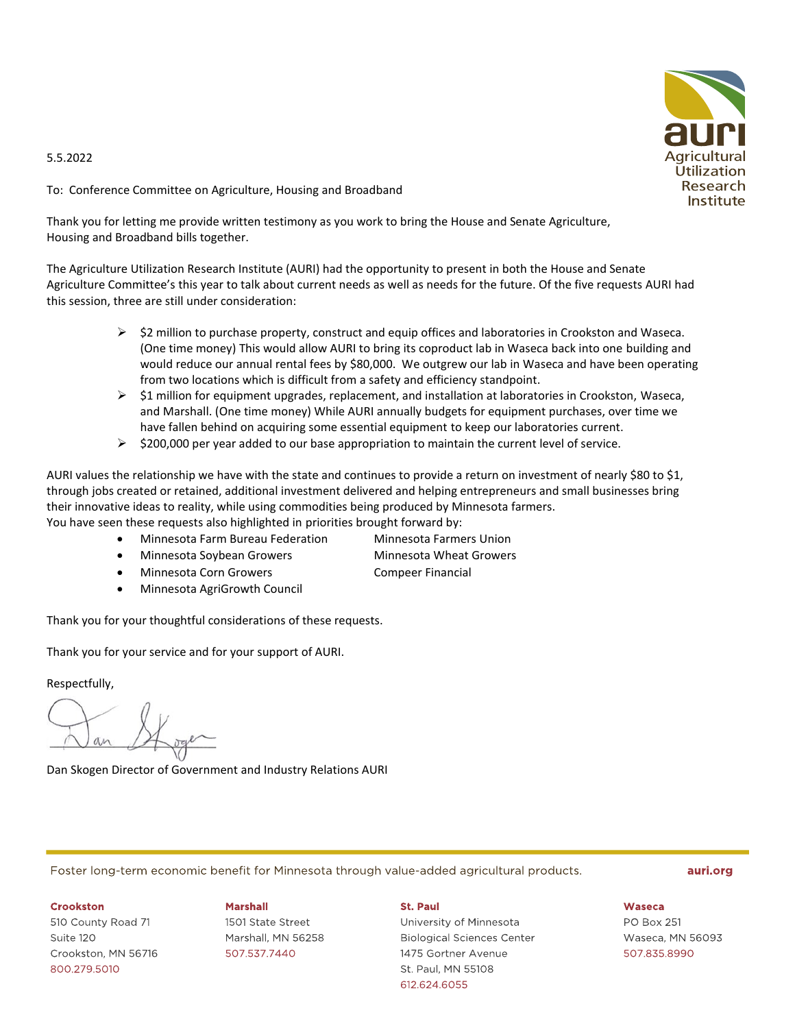## 5.5.2022

To: Conference Committee on Agriculture, Housing and Broadband

Thank you for letting me provide written testimony as you work to bring the House and Senate Agriculture, Housing and Broadband bills together.

The Agriculture Utilization Research Institute (AURI) had the opportunity to present in both the House and Senate Agriculture Committee's this year to talk about current needs as well as needs for the future. Of the five requests AURI had this session, three are still under consideration:

- $\triangleright$  \$2 million to purchase property, construct and equip offices and laboratories in Crookston and Waseca. (One time money) This would allow AURI to bring its coproduct lab in Waseca back into one building and would reduce our annual rental fees by \$80,000. We outgrew our lab in Waseca and have been operating from two locations which is difficult from a safety and efficiency standpoint.
- $\triangleright$  \$1 million for equipment upgrades, replacement, and installation at laboratories in Crookston, Waseca, and Marshall. (One time money) While AURI annually budgets for equipment purchases, over time we have fallen behind on acquiring some essential equipment to keep our laboratories current.
- $\triangleright$  \$200,000 per year added to our base appropriation to maintain the current level of service.

AURI values the relationship we have with the state and continues to provide a return on investment of nearly \$80 to \$1, through jobs created or retained, additional investment delivered and helping entrepreneurs and small businesses bring their innovative ideas to reality, while using commodities being produced by Minnesota farmers.

You have seen these requests also highlighted in priorities brought forward by:

- Minnesota Farm Bureau Federation Minnesota Farmers Union
- Minnesota Soybean Growers Minnesota Wheat Growers
- Minnesota Corn Growers **CompetED** Compeer Financial
- Minnesota AgriGrowth Council

Thank you for your thoughtful considerations of these requests.

Thank you for your service and for your support of AURI.

Respectfully,

Dan Skogen Director of Government and Industry Relations AURI

Foster long-term economic benefit for Minnesota through value-added agricultural products.

### auri.org

### **Crookston**

510 County Road 71 Suite 120 Crookston. MN 56716 800.279.5010

## **Marshall**

1501 State Street Marshall, MN 56258 507.537.7440

### St. Paul

University of Minnesota **Biological Sciences Center** 1475 Gortner Avenue St. Paul, MN 55108 612.624.6055

**Waseca** 

**PO Box 251** Waseca, MN 56093 507.835.8990